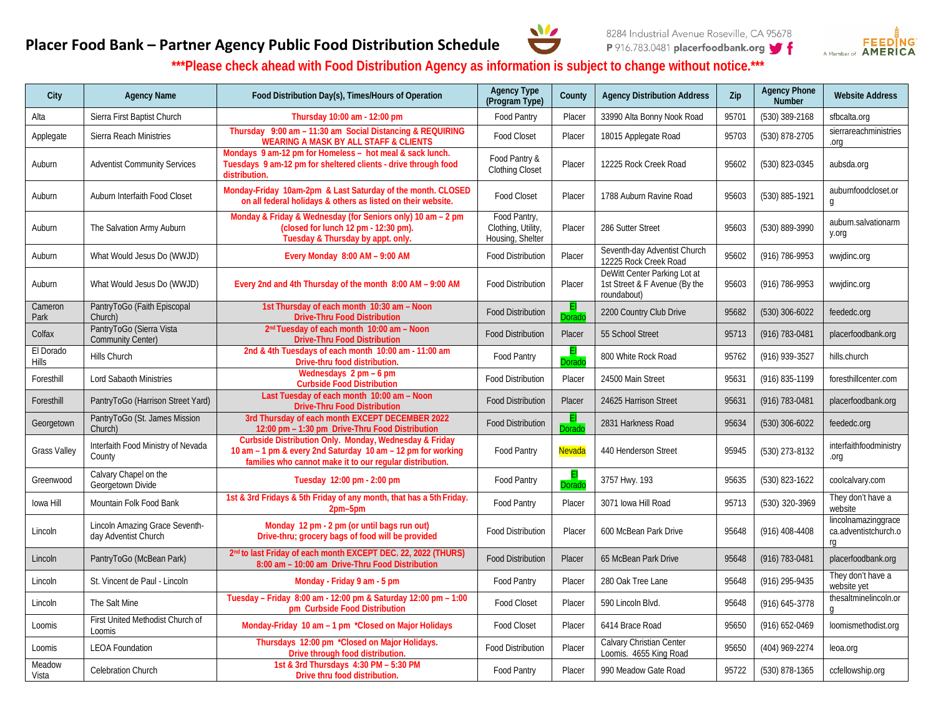



## **Placer Food Bank – Partner Agency Public Food Distribution Schedule**

**\*\*\*Please check ahead with Food Distribution Agency as information is subject to change without notice.\*\*\***

| City                      | <b>Agency Name</b>                                     | Food Distribution Day(s), Times/Hours of Operation                                                                                                                                | <b>Agency Type</b><br>(Program Type)                   | County | <b>Agency Distribution Address</b>                                           | Zip   | <b>Agency Phone</b><br>Number | <b>Website Address</b>                            |
|---------------------------|--------------------------------------------------------|-----------------------------------------------------------------------------------------------------------------------------------------------------------------------------------|--------------------------------------------------------|--------|------------------------------------------------------------------------------|-------|-------------------------------|---------------------------------------------------|
| Alta                      | Sierra First Baptist Church                            | Thursday 10:00 am - 12:00 pm                                                                                                                                                      | Food Pantry                                            | Placer | 33990 Alta Bonny Nook Road                                                   | 95701 | (530) 389-2168                | sfbcalta.org                                      |
| Applegate                 | Sierra Reach Ministries                                | Thursday 9:00 am - 11:30 am Social Distancing & REQUIRING<br><b>WEARING A MASK BY ALL STAFF &amp; CLIENTS</b>                                                                     | <b>Food Closet</b>                                     | Placer | 18015 Applegate Road                                                         | 95703 | (530) 878-2705                | sierrareachministries<br>.org                     |
| Auburn                    | <b>Adventist Community Services</b>                    | Mondays 9 am-12 pm for Homeless - hot meal & sack lunch.<br>Tuesdays 9 am-12 pm for sheltered clients - drive through food<br>distribution.                                       | Food Pantry &<br>Clothing Closet                       | Placer | 12225 Rock Creek Road                                                        | 95602 | (530) 823-0345                | aubsda.org                                        |
| Auburn                    | Auburn Interfaith Food Closet                          | Monday-Friday 10am-2pm & Last Saturday of the month. CLOSED<br>on all federal holidays & others as listed on their website.                                                       | Food Closet                                            | Placer | 1788 Auburn Ravine Road                                                      | 95603 | (530) 885-1921                | auburnfoodcloset.or<br>$\mathfrak{g}$             |
| Auburn                    | The Salvation Army Auburn                              | Monday & Friday & Wednesday (for Seniors only) 10 am - 2 pm<br>(closed for lunch 12 pm - 12:30 pm).<br>Tuesday & Thursday by appt. only.                                          | Food Pantry,<br>Clothing, Utility,<br>Housing, Shelter | Placer | 286 Sutter Street                                                            | 95603 | (530) 889-3990                | auburn.salvationarm<br>y.org                      |
| Auburn                    | What Would Jesus Do (WWJD)                             | Every Monday 8:00 AM - 9:00 AM                                                                                                                                                    | <b>Food Distribution</b>                               | Placer | Seventh-day Adventist Church<br>12225 Rock Creek Road                        | 95602 | (916) 786-9953                | wwjdinc.org                                       |
| Auburn                    | What Would Jesus Do (WWJD)                             | Every 2nd and 4th Thursday of the month 8:00 AM - 9:00 AM                                                                                                                         | <b>Food Distribution</b>                               | Placer | DeWitt Center Parking Lot at<br>1st Street & F Avenue (By the<br>roundabout) | 95603 | (916) 786-9953                | wwjdinc.org                                       |
| Cameron<br>Park           | PantryToGo (Faith Episcopal<br>Church)                 | 1st Thursday of each month 10:30 am - Noon<br><b>Drive-Thru Food Distribution</b>                                                                                                 | <b>Food Distribution</b>                               | )orad  | 2200 Country Club Drive                                                      | 95682 | $(530)$ 306-6022              | feededc.org                                       |
| Colfax                    | PantryToGo (Sierra Vista<br><b>Community Center)</b>   | 2 <sup>nd</sup> Tuesday of each month 10:00 am - Noon<br><b>Drive-Thru Food Distribution</b>                                                                                      | <b>Food Distribution</b>                               | Placer | 55 School Street                                                             | 95713 | (916) 783-0481                | placerfoodbank.org                                |
| El Dorado<br><b>Hills</b> | Hills Church                                           | 2nd & 4th Tuesdays of each month 10:00 am - 11:00 am<br>Drive-thru food distribution.                                                                                             | Food Pantry                                            | Dorado | 800 White Rock Road                                                          | 95762 | (916) 939-3527                | hills.church                                      |
| Foresthill                | Lord Sabaoth Ministries                                | Wednesdays 2 pm - 6 pm<br><b>Curbside Food Distribution</b>                                                                                                                       | <b>Food Distribution</b>                               | Placer | 24500 Main Street                                                            | 95631 | (916) 835-1199                | foresthillcenter.com                              |
| Foresthill                | PantryToGo (Harrison Street Yard)                      | Last Tuesday of each month 10:00 am - Noon<br><b>Drive-Thru Food Distribution</b>                                                                                                 | <b>Food Distribution</b>                               | Placer | 24625 Harrison Street                                                        | 95631 | (916) 783-0481                | placerfoodbank.org                                |
| Georgetown                | PantryToGo (St. James Mission<br>Church)               | 3rd Thursday of each month EXCEPT DECEMBER 2022<br>12:00 pm - 1:30 pm Drive-Thru Food Distribution                                                                                | <b>Food Distribution</b>                               | orado  | 2831 Harkness Road                                                           | 95634 | $(530)$ 306-6022              | feededc.org                                       |
| <b>Grass Valley</b>       | Interfaith Food Ministry of Nevada<br>County           | Curbside Distribution Only. Monday, Wednesday & Friday<br>10 am - 1 pm & every 2nd Saturday 10 am - 12 pm for working<br>families who cannot make it to our regular distribution. | Food Pantry                                            | Nevada | 440 Henderson Street                                                         | 95945 | (530) 273-8132                | interfaithfoodministry<br>pio.                    |
| Greenwood                 | Calvary Chapel on the<br>Georgetown Divide             | Tuesday 12:00 pm - 2:00 pm                                                                                                                                                        | Food Pantry                                            | Dorad  | 3757 Hwy. 193                                                                | 95635 | (530) 823-1622                | coolcalvary.com                                   |
| lowa Hill                 | Mountain Folk Food Bank                                | 1st & 3rd Fridays & 5th Friday of any month, that has a 5th Friday.<br>2pm-5pm                                                                                                    | Food Pantry                                            | Placer | 3071 Iowa Hill Road                                                          | 95713 | (530) 320-3969                | They don't have a<br>website                      |
| Lincoln                   | Lincoln Amazing Grace Seventh-<br>day Adventist Church | Monday 12 pm - 2 pm (or until bags run out)<br>Drive-thru; grocery bags of food will be provided                                                                                  | Food Distribution                                      | Placer | 600 McBean Park Drive                                                        | 95648 | (916) 408-4408                | lincolnamazinggrace<br>ca.adventistchurch.o<br>rg |
| Lincoln                   | PantryToGo (McBean Park)                               | 2 <sup>nd</sup> to last Friday of each month EXCEPT DEC. 22, 2022 (THURS)<br>8:00 am - 10:00 am Drive-Thru Food Distribution                                                      | <b>Food Distribution</b>                               | Placer | 65 McBean Park Drive                                                         | 95648 | (916) 783-0481                | placerfoodbank.org                                |
| Lincoln                   | St. Vincent de Paul - Lincoln                          | Monday - Friday 9 am - 5 pm                                                                                                                                                       | Food Pantry                                            | Placer | 280 Oak Tree Lane                                                            | 95648 | (916) 295-9435                | They don't have a<br>website yet                  |
| Lincoln                   | The Salt Mine                                          | Tuesday - Friday 8:00 am - 12:00 pm & Saturday 12:00 pm - 1:00<br>pm Curbside Food Distribution                                                                                   | <b>Food Closet</b>                                     | Placer | 590 Lincoln Blvd.                                                            | 95648 | $(916) 645 - 3778$            | thesaltminelincoln.or                             |
| Loomis                    | First United Methodist Church of<br>Loomis             | Monday-Friday 10 am - 1 pm *Closed on Major Holidays                                                                                                                              | <b>Food Closet</b>                                     | Placer | 6414 Brace Road                                                              | 95650 | (916) 652-0469                | loomismethodist.org                               |
| Loomis                    | <b>LEOA Foundation</b>                                 | Thursdays 12:00 pm *Closed on Major Holidays.<br>Drive through food distribution.                                                                                                 | <b>Food Distribution</b>                               | Placer | Calvary Christian Center<br>Loomis. 4655 King Road                           | 95650 | (404) 969-2274                | leoa.org                                          |
| Meadow<br>Vista           | Celebration Church                                     | 1st & 3rd Thursdays 4:30 PM - 5:30 PM<br>Drive thru food distribution.                                                                                                            | Food Pantry                                            | Placer | 990 Meadow Gate Road                                                         | 95722 | (530) 878-1365                | ccfellowship.org                                  |